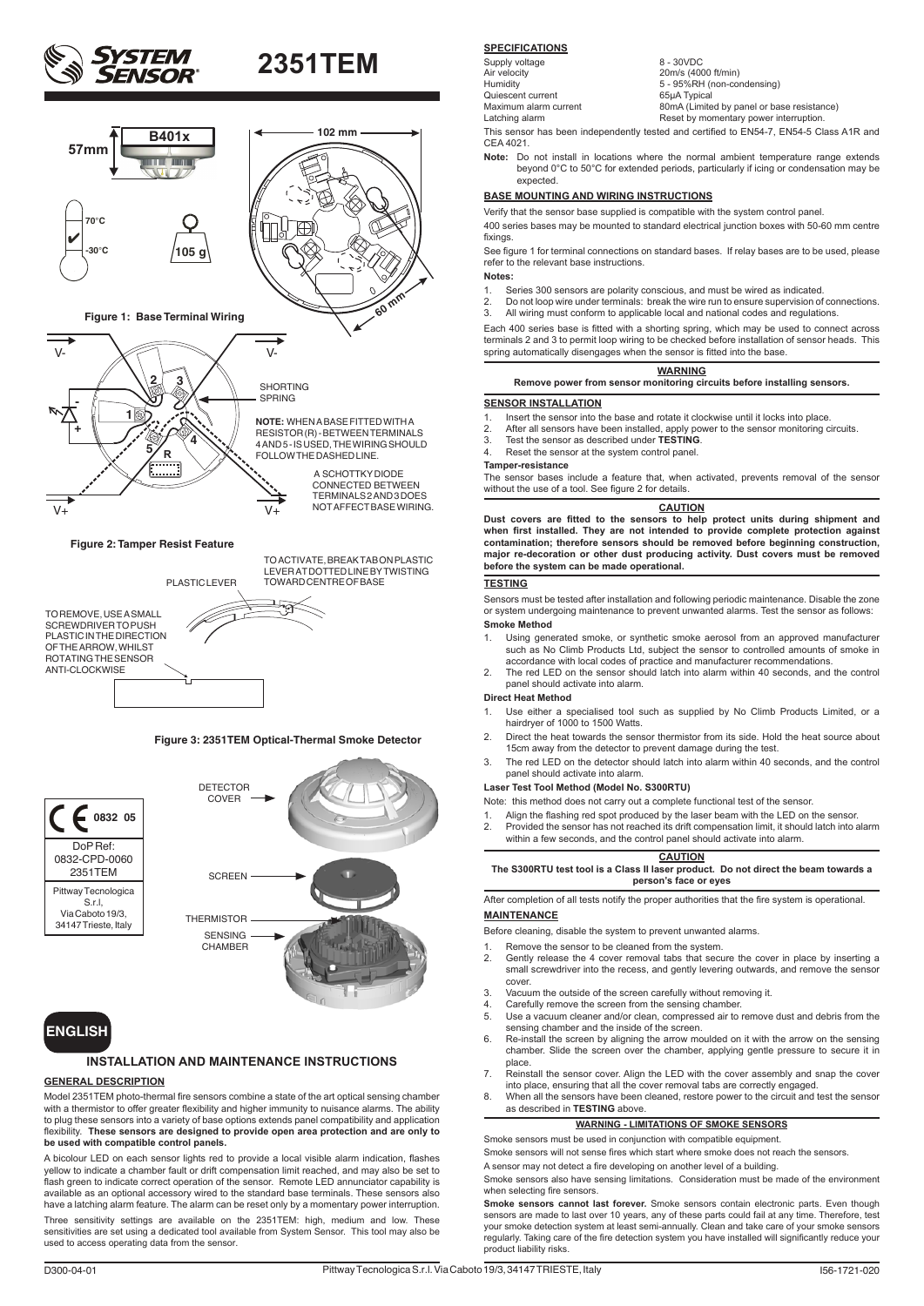



TO REMOVE, USE A SMALL SCREWDRIVER TO PUSH PLASTIC IN THE DIRECTION OF THE ARROW, WHILST ROTATING THE SENSOR ANTI-CLOCKWISE

TO ACTIVATE, BREAK TAB ON PLASTIC LEVER AT DOTTED LINE BY TWISTING TOWARD CENTRE OF BASE

PLASTIC LEVER

#### **Figure 3: 2351TEM Optical-Thermal Smoke Detector**





### **INSTALLATION AND MAINTENANCE INSTRUCTIONS**

#### **GENERAL DESCRIPTION**

Model 2351TEM photo-thermal fire sensors combine a state of the art optical sensing chamber with a thermistor to offer greater flexibility and higher immunity to nuisance alarms. The ability to plug these sensors into a variety of base options extends panel compatibility and application flexibility. **These sensors are designed to provide open area protection and are only to be used with compatible control panels.**

A bicolour LED on each sensor lights red to provide a local visible alarm indication, flashes yellow to indicate a chamber fault or drift compensation limit reached, and may also be set to flash green to indicate correct operation of the sensor. Remote LED annunciator capability is available as an optional accessory wired to the standard base terminals. These sensors also have a latching alarm feature. The alarm can be reset only by a momentary power interruption. Three sensitivity settings are available on the 2351TEM: high, medium and low. These sensitivities are set using a dedicated tool available from System Sensor. This tool may also be used to access operating data from the sensor.

#### **SPECIFICATIONS**

Supply voltage 8 - 30VDC<br>Air velocity 20m/s (40 Air velocity 20m/s (4000 ft/min) Humidity 5 - 95%RH (non-condensing) Quiescent current 65µA Typical

Maximum alarm current 80mA (Limited by panel or base resistance) Latching alarm Reset by momentary power interruption.

This sensor has been independently tested and certified to EN54-7, EN54-5 Class A1R and CEA 4021.

**Note:** Do not install in locations where the normal ambient temperature range extends beyond 0°C to 50°C for extended periods, particularly if icing or condensation may be expected.

#### **BASE MOUNTING AND WIRING INSTRUCTIONS**

Verify that the sensor base supplied is compatible with the system control panel.

400 series bases may be mounted to standard electrical junction boxes with 50-60 mm centre fixings.

See figure 1 for terminal connections on standard bases. If relay bases are to be used, please refer to the relevant base instructions.

**Notes:**

- 1. Series 300 sensors are polarity conscious, and must be wired as indicated.<br>2. Do not loop wire under terminals: break the wire run to ensure supervision of
- 2. Do not loop wire under terminals: break the wire run to ensure supervision of connections.<br>
2. Do not loop wire under terminals: break the wire run to ensure supervision of connections.<br>
3. All wiring must conform to ap 3. All wiring must conform to applicable local and national codes and regulations.

Each 400 series base is fitted with a shorting spring, which may be used to connect across terminals 2 and 3 to permit loop wiring to be checked before installation of sensor heads. This spring automatically disengages when the sensor is fitted into the base

### **WARNING**

**Remove power from sensor monitoring circuits before installing sensors.**

#### **SENSOR INSTALLATION**

- 1. Insert the sensor into the base and rotate it clockwise until it locks into place.<br>2. After all sensors have been installed, apply power to the sensor monitoring of
- 2. After all sensors have been installed, apply power to the sensor monitoring circuits. 3. Test the sensor as described under **TESTING**.
- 
- 4. Reset the sensor at the system control panel.

**Tamper-resistance**

The sensor bases include a feature that, when activated, prevents removal of the sensor without the use of a tool. See figure 2 for details.

#### **CAUTION**

**Dust covers are fitted to the sensors to help protect units during shipment and when first installed. They are not intended to provide complete protection against contamination; therefore sensors should be removed before beginning construction, major re-decoration or other dust producing activity. Dust covers must be removed before the system can be made operational.**

#### **TESTING**

Sensors must be tested after installation and following periodic maintenance. Disable the zone or system undergoing maintenance to prevent unwanted alarms. Test the sensor as follows: **Smoke Method**

- 1. Using generated smoke, or synthetic smoke aerosol from an approved manufacturer such as No Climb Products Ltd, subject the sensor to controlled amounts of smoke in
- accordance with local codes of practice and manufacturer recommendations. 2. The red LED on the sensor should latch into alarm within 40 seconds, and the control panel should activate into alarm.

#### **Direct Heat Method**

- 1. Use either a specialised tool such as supplied by No Climb Products Limited, or a hairdryer of 1000 to 1500 Watts.
- 2. Direct the heat towards the sensor thermistor from its side. Hold the heat source about 15cm away from the detector to prevent damage during the test.
- 3. The red LED on the detector should latch into alarm within 40 seconds, and the control panel should activate into alarm.

#### **Laser Test Tool Method (Model No. S300RTU)**

Note: this method does not carry out a complete functional test of the sensor.

- 1. Align the flashing red spot produced by the laser beam with the LED on the sensor<br>2. Provided the sensor has not reached its drift compensation limit, it should latch into
- 2. Provided the sensor has not reached its drift compensation limit, it should latch into alarm within a few seconds, and the control panel should activate into alarm.

#### **CAUTION The S300RTU test tool is a Class II laser product. Do not direct the beam towards a person's face or eyes**

After completion of all tests notify the proper authorities that the fire system is operational. **MAINTENANCE**

Before cleaning, disable the system to prevent unwanted alarms.

- 
- 1. Remove the sensor to be cleaned from the system.<br>2. Gently release the 4 cover removal tabs that secular 2. Gently release the 4 cover removal tabs that secure the cover in place by inserting a small screwdriver into the recess, and gently levering outwards, and remove the sensor cover.
- 3. Vacuum the outside of the screen carefully without removing it.
- 4. Carefully remove the screen from the sensing chamber.
- 5. Use a vacuum cleaner and/or clean, compressed air to remove dust and debris from the sensing chamber and the inside of the screen.
- 6. Re-install the screen by aligning the arrow moulded on it with the arrow on the sensing chamber. Slide the screen over the chamber, applying gentle pressure to secure it in place.
- 7. Reinstall the sensor cover. Align the LED with the cover assembly and snap the cover into place, ensuring that all the cover removal tabs are correctly engaged.
- 8. When all the sensors have been cleaned, restore power to the circuit and test the sensor as described in **TESTING** above.

## **WARNING - LIMITATIONS OF SMOKE SENSORS**

Smoke sensors must be used in conjunction with compatible equipment.

Smoke sensors will not sense fires which start where smoke does not reach the sensors. A sensor may not detect a fire developing on another level of a building.

Smoke sensors also have sensing limitations. Consideration must be made of the environment when selecting fire sensors.

**Smoke sensors cannot last forever.** Smoke sensors contain electronic parts. Even though sensors are made to last over 10 years, any of these parts could fail at any time. Therefore, test<br>your smoke detection system at least semi-annually. Clean and take care of your smoke sensors<br>regularly. Taking care of the product liability risks.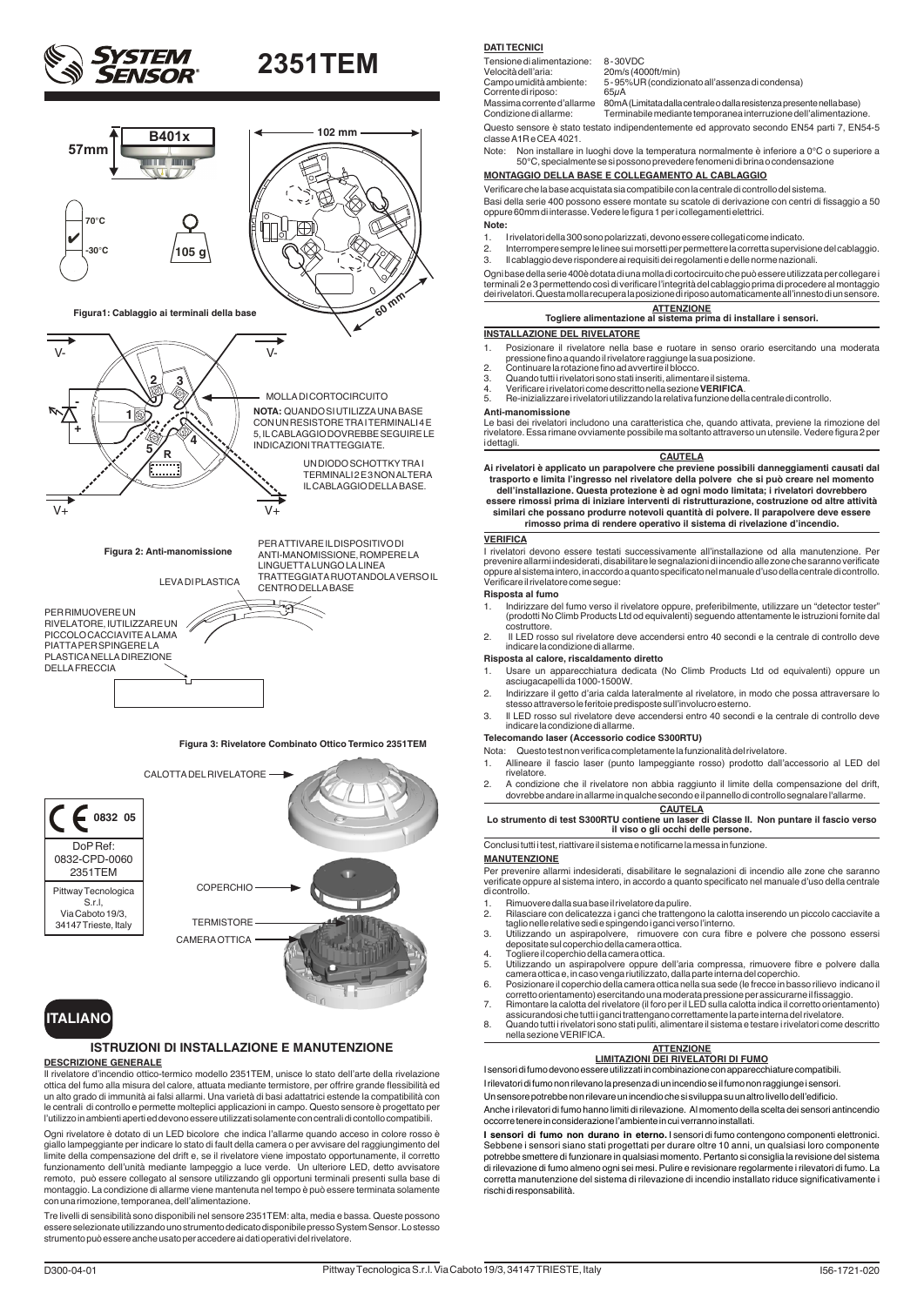





## **ITALIANO**

#### **ISTRUZIONI DI INSTALLAZIONE E MANUTENZIONE**

#### **DESCRIZIONE GENERALE**

Il rivelatore d'incendio ottico-termico modello 2351TEM, unisce lo stato dell'arte della rivelazione ottica del fumo alla misura del calore, attuata mediante termistore, per offrire grande flessibilità ed un alto grado di immunità ai falsi allarmi. Una varietà di basi adattatrici estende la compatibilità con le centrali di controllo e permette molteplici applicazioni in campo. Questo sensore è progettato per l'utilizzo in ambienti aperti ed devono essere utilizzati solamente con centrali di contollo compatibili.

Ogni rivelatore è dotato di un LED bicolore che indica l'allarme quando acceso in colore rosso è giallo lampeggiante per indicare lo stato di fault della camera o per avvisare del raggiungimento del limite della compensazione del drift e, se il rivelatore viene impostato opportunamente, il corretto funzionamento dell'unità mediante lampeggio a luce verde. Un ulteriore LED, detto avvisatore remoto, può essere collegato al sensore utilizzando gli opportuni terminali presenti sulla base di montaggio. La condizione di allarme viene mantenuta nel tempo è può essere terminata solamente con una rimozione, temporanea, dell'alimentazione.

Tre livelli di sensibilità sono disponibili nel sensore 2351TEM: alta, media e bassa. Queste possono essere selezionate utilizzando uno strumento dedicato disponibile presso System Sensor. Lo stesso strumento può essere anche usato per accedere ai dati operativi del rivelatore.

#### **DATI TECNICI**

Tensione di alimentazione: 8 - 30VDC<br>Velocità dell'aria: 20m/s (40)

Massima corrente d'allarme 80mA (Limitata dalla centrale o dalla resistenza presente nella base) Condizione di allarme: Terminabile mediante temporanea interruzione dell'alimentazione.

Questo sensore è stato testato indipendentemente ed approvato secondo EN54 parti 7, EN54-5 classe A1R e CEA 4021.

Note: Non installare in luoghi dove la temperatura normalmente è inferiore a 0°C o superiore a 50°C, specialmente se si possono prevedere fenomeni di brina o condensazione

### **MONTAGGIO DELLA BASE E COLLEGAMENTO AL CABLAGGIO**

Verificare che la base acquistata sia compatibile con la centrale di controllo del sistema.

Basi della serie 400 possono essere montate su scatole di derivazione con centri di fissaggio a 50 oppure 60mm di interasse. Vedere le figura 1 per i collegamenti elettrici. **Note:**

- 
- 1. I rivelatori della 300 sono polarizzati, devono essere collegati come indicato.
- 2. Interrompere sempre le linee sui morsetti per permettere la corretta supervisione del cablaggio.<br>3. Il cablaggio deve rispondere ai requisiti dei regolamenti e delle porme pazionali 3. Il cablaggio deve rispondere ai requisiti dei regolamenti e delle norme nazionali.

Ogni base della serie 400è dotata di una molla di cortocircuito che può essere utilizzata per collegare i terminali 2 e 3 permettendo così di verificare l'integrità del cablaggio prima di procedere al montaggio dei rivelatori. Questa molla recupera la posizione di riposo automaticamente all'innesto di un sensore.

| <b>ATTENZIONE</b>                                                |
|------------------------------------------------------------------|
| Togliere alimentazione al sistema prima di installare i sensori. |

#### **INSTALLAZIONE DEL RIVELATORE**

- 1. Posizionare il rivelatore nella base e ruotare in senso orario esercitando una moderata pressione fino a quando il rivelatore raggiunge la sua posizione.
- 
- 2. Continuare la rotazione fino ad avvertire il blocco. 3. Quando tutti i rivelatori sono stati inseriti, alimentare il sistema. 4. Verificare i rivelatori come descritto nella sezione **VERIFICA**.
- 
- 5. Re-inizializzare i rivelatori utilizzando la relativa funzione della centrale di controllo.

**Anti-manomissione** Le basi dei rivelatori includono una caratteristica che, quando attivata, previene la rimozione del rivelatore. Essa rimane ovviamente possibile ma soltanto attraverso un utensile. Vedere figura 2 per

**CAUTELA**

**Ai rivelatori è applicato un parapolvere che previene possibili danneggiamenti causati dal trasporto e limita l'ingresso nel rivelatore della polvere che si può creare nel momento** 

**dell'installazione. Questa protezione è ad ogni modo limitata; i rivelatori dovrebbero essere rimossi prima di iniziare interventi di ristrutturazione, costruzione od altre attività** 

## **similari che possano produrre notevoli quantità di polvere. Il parapolvere deve essere rimosso prima di rendere operativo il sistema di rivelazione d'incendio.**

#### **VERIFICA**

**i** dettagli

I rivelatori devono essere testati successivamente all'installazione od alla manutenzione. Per prevenire allarmi indesiderati, disabilitare le segnalazioni di incendio alle zone che saranno verificate oppure al sistema intero, in accordo a quanto specificato nel manuale d'uso della centrale di controllo. Verificare il rivelatore come segue:

#### **Risposta al fumo**

- 1. Indirizzare del fumo verso il rivelatore oppure, preferibilmente, utilizzare un "detector tester" (prodotti No Climb Products Ltd od equivalenti) seguendo attentamente le istruzioni fornite dal
- costruttore. 2. Il LED rosso sul rivelatore deve accendersi entro 40 secondi e la centrale di controllo deve indicare la condizione di allarme.

#### **Risposta al calore, riscaldamento diretto**

- 1. Usare un apparecchiatura dedicata (No Climb Products Ltd od equivalenti) oppure un asciugacapelli da 1000-1500W.
- 2. Indirizzare il getto d'aria calda lateralmente al rivelatore, in modo che possa attraversare lo stesso attraverso le feritoie predisposte sull'involucro esterno.
- 3. Il LED rosso sul rivelatore deve accendersi entro 40 secondi e la centrale di controllo deve indicare la condizione di allarme.

#### **Telecomando laser (Accessorio codice S300RTU)**

- Nota: Questo test non verifica completamente la funzionalità del rivelatore.
- 1. Allineare il fascio laser (punto lampeggiante rosso) prodotto dall'accessorio al LED del rivelatore.
- 2. A condizione che il rivelatore non abbia raggiunto il limite della compensazione del drift, dovrebbe andare in allarme in qualche secondo e il pannello di controllo segnalare l'allarme.

**CAUTELA Lo strumento di test S300RTU contiene un laser di Classe II. Non puntare il fascio verso il viso o gli occhi delle persone.**

Conclusi tutti i test, riattivare il sistema e notificarne la messa in funzione.

#### **MANUTENZIONE**

Per prevenire allarmi indesiderati, disabilitare le segnalazioni di incendio alle zone che saranno verificate oppure al sistema intero, in accordo a quanto specificato nel manuale d'uso della centrale di controllo.

- 1. Rimuovere dalla sua base il rivelatore da pulire.<br>2. Rilasciare con delicatezza i ganci che trattenge
- 2. Rilasciare con delicatezza i ganci che trattengono la calotta inserendo un piccolo cacciavite a taglio nelle relative sedi e spingendo i ganci verso l'interno.
- 3. Utilizzando un aspirapolvere, rimuovere con cura fibre e polvere che possono essersi depositate sul coperchio della camera ottica. 4. Togliere il coperchio della camera ottica.
- 
- 5. Utilizzando un aspirapolvere oppure dell'aria compressa, rimuovere fibre e polvere dalla<br>cameraottica e, in caso venga riutilizzato, dalla parte interna del coperchio.<br>6. Posizionare il coperchio della camera ottica nel
- corretto orientamento) esercitando una moderata pressione per assicurarne il fissaggio.
- 7. Rimontare la calotta del rivelatore (il foro per il LED sulla calotta indica il corretto orientamento) assicurandosi che tutti i ganci trattengano correttamente la parte interna del rivelatore.
- 8. Quando tutti i rivelatori sono stati puliti, alimentare il sistema e testare i rivelatori come descritto nella sezione VERIFICA.

## **ATTENZIONE LIMITAZIONI DEI RIVELATORI DI FUMO**

I sensori di fumo devono essere utilizzati in combinazione con apparecchiature compatibili.

I rilevatori di fumo non rilevano la presenza di un incendio se il fumo non raggiunge i sensori.

Un sensore potrebbe non rilevare un incendio che si sviluppa su un altro livello dell'edificio. Anche i rilevatori di fumo hanno limiti di rilevazione. Al momento della scelta dei sensori antincendio occorre tenere in considerazione l'ambiente in cui verranno installati.

**I sensori di fumo non durano in eterno.** I sensori di fumo contengono componenti elettronici. Sebbene i sensori siano stati progettati per durare oltre 10 anni, un qualsiasi loro componente potrebbe smettere di funzionare in qualsiasi momento. Pertanto si consiglia la revisione del sistema di rilevazione di fumo almeno ogni sei mesi. Pulire e revisionare regolarmente i rilevatori di fumo. La corretta manutenzione del sistema di rilevazione di incendio installato riduce significativamente i rischi di responsabilità.

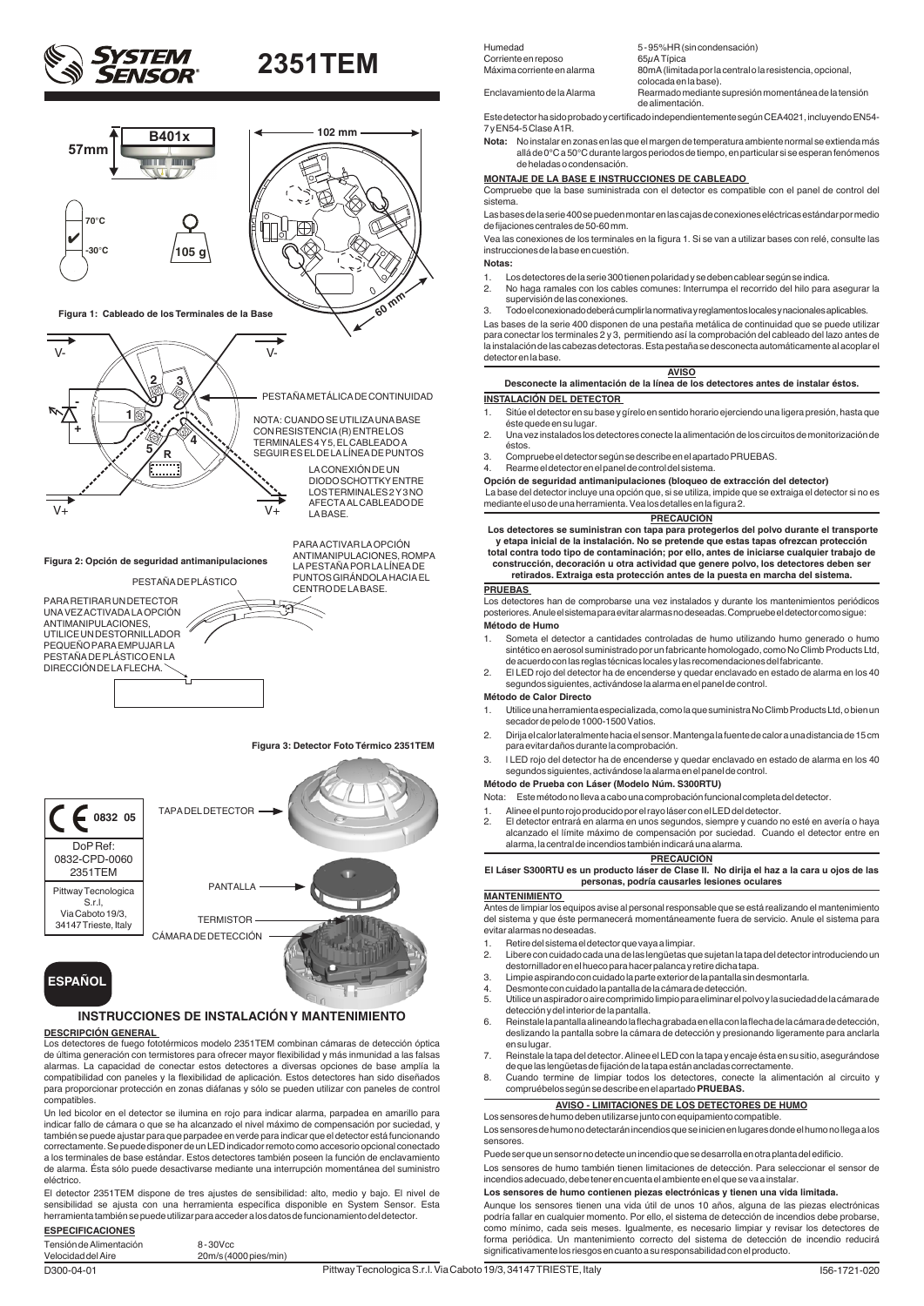



### **DESCRIPCIÓN GENERAL**

Los detectores de fuego fototérmicos modelo 2351TEM combinan cámaras de detección óptica de última generación con termistores para ofrecer mayor flexibilidad y más inmunidad a las falsas alarmas. La capacidad de conectar estos detectores a diversas opciones de base amplía la compatibilidad con paneles y la flexibilidad de aplicación. Estos detectores han sido diseñados para proporcionar protección en zonas diáfanas y sólo se pueden utilizar con paneles de control compatibles.

Un led bicolor en el detector se ilumina en rojo para indicar alarma, parpadea en amarillo para indicar fallo de cámara o que se ha alcanzado el nivel máximo de compensación por suciedad, y también se puede ajustar para que parpadee en verde para indicar que el detector está funcionando correctamente. Se puede disponer de un LED indicador remoto como accesorio opcional conectado a los terminales de base estándar. Estos detectores también poseen la función de enclavamiento de alarma. Ésta sólo puede desactivarse mediante una interrupción momentánea del suministro eléctrico.

El detector 2351TEM dispone de tres ajustes de sensibilidad: alto, medio y bajo. El nivel de sensibilidad se ajusta con una herramienta específica disponible en System Sensor. Esta herramienta también se puede utilizar para acceder a los datos de funcionamiento del detector.

#### **ESPECIFICACIONES** Tensión de Alimentación 8 - 30Vcc

Velocidad del Aire 20m/s (4000 pies/min)

Humedad 5 - 95%HR (sin condensación) Corriente en reposo<br>Máxima corriente en alarma

80mA (limitada por la central o la resistencia, opcional,

colocada en la base). Enclavamiento de la Alarma Rearmado mediante supresión momentánea de la tensión

de alimentación. Este detector ha sido probado y certificado independientemente según CEA4021, incluyendo EN54- 7 y EN54-5 Clase A1R.

**Nota:** No instalar en zonas en las que el margen de temperatura ambiente normal se extienda más allá de 0°C a 50°C durante largos periodos de tiempo, en particular si se esperan fenómenos de heladas o condensación.

#### **MONTAJE DE LA BASE E INSTRUCCIONES DE CABLEADO**

Compruebe que la base suministrada con el detector es compatible con el panel de control del sistema.

Las bases de la serie 400 se pueden montar en las cajas de conexiones eléctricas estándar por medio de fijaciones centrales de 50-60 mm.

Vea las conexiones de los terminales en la figura 1. Si se van a utilizar bases con relé, consulte las instrucciones de la base en cuestión.

**Notas:**

- 1. Los detectores de la serie 300 tienen polaridad y se deben cablear según se indica. 2. No haga ramales con los cables comunes: Interrumpa el recorrido del hilo para asegurar la supervisión de las conexiones.
- 3. Todo el conexionado deberá cumplir la normativa y reglamentos locales y nacionales aplicables.

Las bases de la serie 400 disponen de una pestaña metálica de continuidad que se puede utilizar para conectar los terminales 2 y 3, permitiendo así la comprobación del cableado del lazo antes de la instalación de las cabezas detectoras. Esta pestaña se desconecta automáticamente al acoplar el detector en la base.

#### **AVISO**

**Desconecte la alimentación de la línea de los detectores antes de instalar éstos.**

**INSTALACIÓN DEL DETECTOR** 

- 1. Sitúe el detector en su base y gírelo en sentido horario ejerciendo una ligera presión, hasta que éste quede en su lugar.
- 2. Una vez instalados los detectores conecte la alimentación de los circuitos de monitorización de éstos.
- 3. Compruebe el detector según se describe en el apartado PRUEBAS.
- 4. Rearme el detector en el panel de control del sistema.

**Opción de seguridad antimanipulaciones (bloqueo de extracción del detector)**

 La base del detector incluye una opción que, si se utiliza, impide que se extraiga el detector si no es mediante el uso de una herramienta. Vea los detalles en la figura 2.

## **PRECAUCIÓN**

 **Los detectores se suministran con tapa para protegerlos del polvo durante el transporte y etapa inicial de la instalación. No se pretende que estas tapas ofrezcan protección total contra todo tipo de contaminación; por ello, antes de iniciarse cualquier trabajo de construcción, decoración u otra actividad que genere polvo, los detectores deben ser retirados. Extraiga esta protección antes de la puesta en marcha del sistema.**

### **PRUEBAS**

Los detectores han de comprobarse una vez instalados y durante los mantenimientos periódicos posteriores. Anule el sistema para evitar alarmas no deseadas. Compruebe el detector como sigue:

#### **Método de Humo**

1. Someta el detector a cantidades controladas de humo utilizando humo generado o humo sintético en aerosol suministrado por un fabricante homologado, como No Climb Products Ltd, de acuerdo con las reglas técnicas locales y las recomendaciones del fabricante.

2. El LED rojo del detector ha de encenderse y quedar enclavado en estado de alarma en los 40 segundos siguientes, activándose la alarma en el panel de control.

#### **Método de Calor Directo**

- 1. Utilice una herramienta especializada, como la que suministra No Climb Products Ltd, o bien un secador de pelo de 1000-1500 Vatios.
- 2. Dirija el calor lateralmente hacia el sensor. Mantenga la fuente de calor a una distancia de 15 cm para evitar daños durante la comprobación.
- 3. l LED rojo del detector ha de encenderse y quedar enclavado en estado de alarma en los 40 segundos siguientes, activándose la alarma en el panel de control.

#### **Método de Prueba con Láser (Modelo Núm. S300RTU)**

Nota: Este método no lleva a cabo una comprobación funcional completa del detector.

- 1. Alinee el punto rojo producido por el rayo láser con el LED del detector.<br>2. El detector entrará en alarma en unos segundos, siempre y cuando i
- 2. El detector entrará en alarma en unos segundos, siempre y cuando no esté en avería o haya alcanzado el límite máximo de compensación por suciedad. Cuando el detector entre en alarma, la central de incendios también indicará una alarma.

**PRECAUCIÓN El Láser S300RTU es un producto láser de Clase II. No dirija el haz a la cara u ojos de las personas, podría causarles lesiones oculares**

#### **MANTENIMIENTO**

Antes de limpiar los equipos avise al personal responsable que se está realizando el mantenimiento del sistema y que éste permanecerá momentáneamente fuera de servicio. Anule el sistema para evitar alarmas no deseadas.

- 1. Retire del sistema el detector que vaya a limpiar.
- 2. Libere con cuidado cada una de las lengüetas que sujetan la tapa del detector introduciendo un destornillador en el hueco para hacer palanca y retire dicha tapa.
- 3. Limpie aspirando con cuidado la parte exterior de la pantalla sin desmontarla.
- 4. Desmonte con cuidado la pantalla de la cámara de detección.
- 5. Utilice un aspirador o aire comprimido limpio para eliminar el polvo y la suciedad de la cámara de detección y del interior de la pantalla.
- 6. Reinstale la pantalla alineando la flecha grabada en ella con la flecha de la cámara de detección, deslizando la pantalla sobre la cámara de detección y presionando ligeramente para anclarla en su lugar.
- 7. Reinstale la tapa del detector. Alinee el LED con la tapa y encaje ésta en su sitio, asegurándose de que las lengüetas de fijación de la tapa están ancladas correctamente.
- 8. Cuando termine de limpiar todos los detectores, conecte la alimentación al circuito y compruébelos según se describe en el apartado **PRUEBAS.**

#### **AVISO - LIMITACIONES DE LOS DETECTORES DE HUMO**

Los sensores de humo deben utilizarse junto con equipamiento compatible. Los sensores de humo no detectarán incendios que se inicien en lugares donde el humo no llega a los sensores.

Puede ser que un sensor no detecte un incendio que se desarrolla en otra planta del edificio.

Los sensores de humo también tienen limitaciones de detección. Para seleccionar el sensor de incendios adecuado, debe tener en cuenta el ambiente en el que se va a instalar.

#### **Los sensores de humo contienen piezas electrónicas y tienen una vida limitada.**

Aunque los sensores tienen una vida útil de unos 10 años, alguna de las piezas electrónicas podría fallar en cualquier momento. Por ello, el sistema de detección de incendios debe probarse, como mínimo, cada seis meses. Igualmente, es necesario limpiar y revisar los detectores de forma periódica. Un mantenimiento correcto del sistema de detección de incendio reducirá significativamente los riesgos en cuanto a su responsabilidad con el producto.



## **INSTRUCCIONES DE INSTALACIÓN Y MANTENIMIENTO**